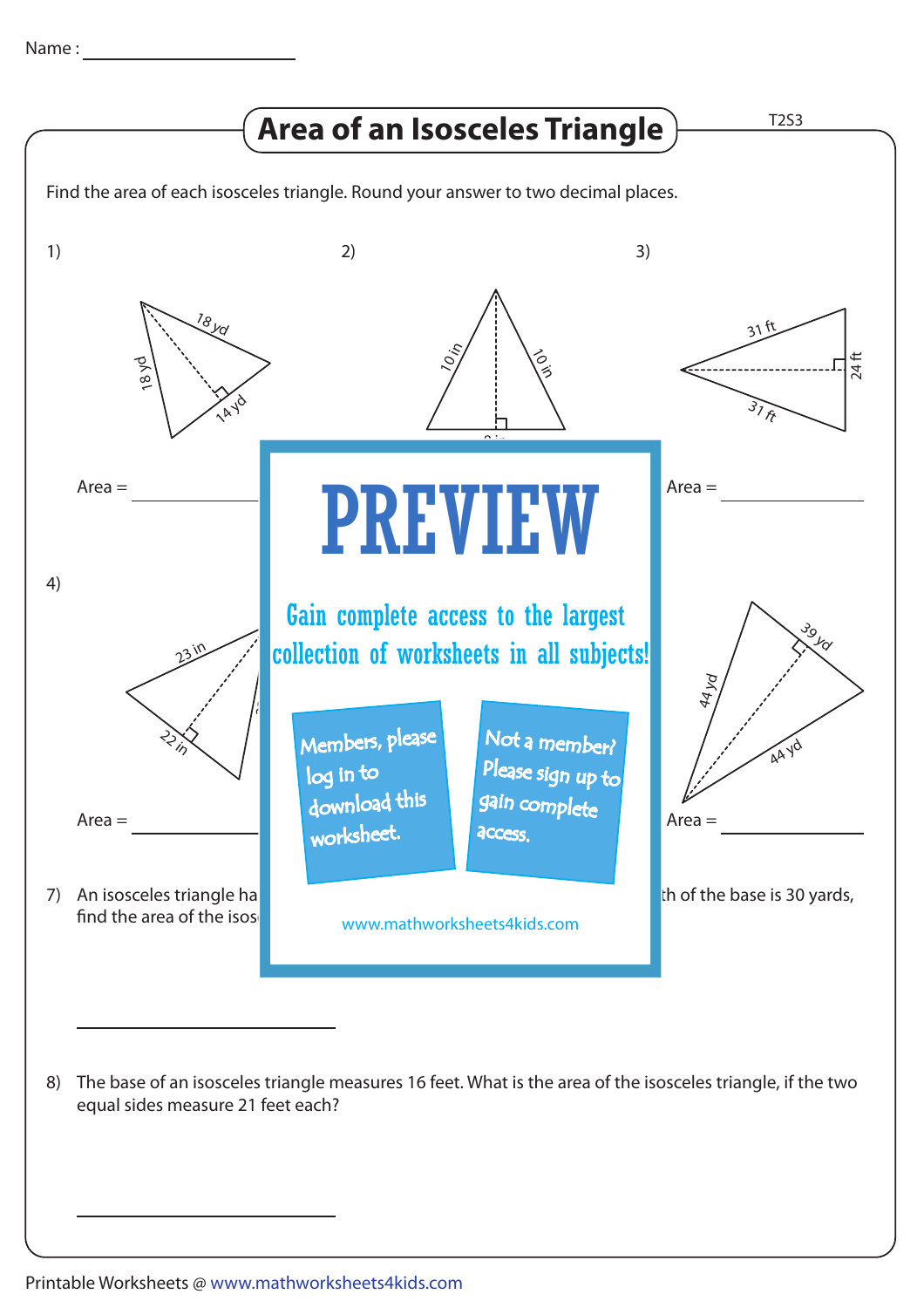